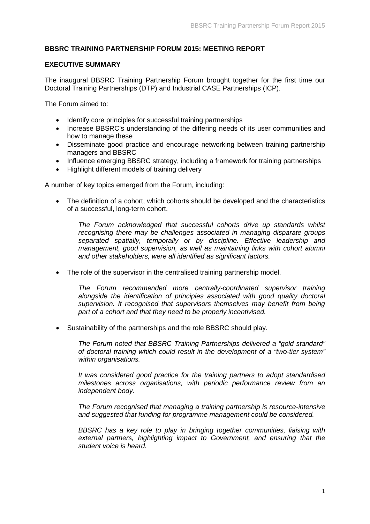# **BBSRC TRAINING PARTNERSHIP FORUM 2015: MEETING REPORT**

#### **EXECUTIVE SUMMARY**

The inaugural BBSRC Training Partnership Forum brought together for the first time our Doctoral Training Partnerships (DTP) and Industrial CASE Partnerships (ICP).

The Forum aimed to:

- Identify core principles for successful training partnerships
- Increase BBSRC's understanding of the differing needs of its user communities and how to manage these
- Disseminate good practice and encourage networking between training partnership managers and BBSRC
- Influence emerging BBSRC strategy, including a framework for training partnerships
- Highlight different models of training delivery

A number of key topics emerged from the Forum, including:

• The definition of a cohort, which cohorts should be developed and the characteristics of a successful, long-term cohort.

*The Forum acknowledged that successful cohorts drive up standards whilst recognising there may be challenges associated in managing disparate groups separated spatially, temporally or by discipline. Effective leadership and management, good supervision, as well as maintaining links with cohort alumni and other stakeholders, were all identified as significant factors.*

• The role of the supervisor in the centralised training partnership model.

*The Forum recommended more centrally-coordinated supervisor training alongside the identification of principles associated with good quality doctoral supervision. It recognised that supervisors themselves may benefit from being part of a cohort and that they need to be properly incentivised.*

• Sustainability of the partnerships and the role BBSRC should play.

*The Forum noted that BBSRC Training Partnerships delivered a "gold standard" of doctoral training which could result in the development of a "two-tier system" within organisations.*

*It was considered good practice for the training partners to adopt standardised milestones across organisations, with periodic performance review from an independent body.*

*The Forum recognised that managing a training partnership is resource-intensive and suggested that funding for programme management could be considered.*

<span id="page-0-0"></span>*BBSRC has a key role to play in bringing together communities, liaising with external partners, highlighting impact to Government, and ensuring that the student voice is heard.*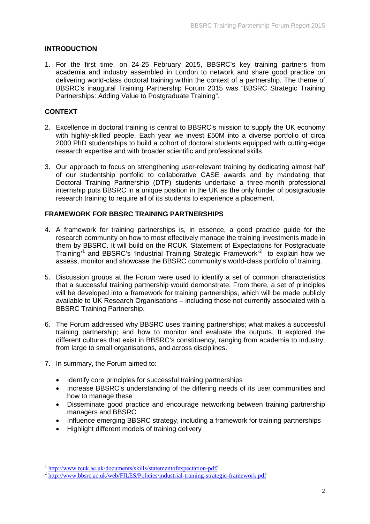### **INTRODUCTION**

1. For the first time, on 24-25 February 2015, BBSRC's key training partners from academia and industry assembled in London to network and share good practice on delivering world-class doctoral training within the context of a partnership. The theme of BBSRC's inaugural Training Partnership Forum 2015 was "BBSRC Strategic Training Partnerships: Adding Value to Postgraduate Training".

## **CONTEXT**

- 2. Excellence in doctoral training is central to BBSRC's mission to supply the UK economy with highly-skilled people. Each year we invest £50M into a diverse portfolio of circa 2000 PhD studentships to build a cohort of doctoral students equipped with cutting-edge research expertise and with broader scientific and professional skills.
- 3. Our approach to focus on strengthening user-relevant training by dedicating almost half of our studentship portfolio to collaborative CASE awards and by mandating that Doctoral Training Partnership (DTP) students undertake a three-month professional internship puts BBSRC in a unique position in the UK as the only funder of postgraduate research training to require all of its students to experience a placement.

# **FRAMEWORK FOR BBSRC TRAINING PARTNERSHIPS**

- 4. A framework for training partnerships is, in essence, a good practice guide for the research community on how to most effectively manage the training investments made in them by BBSRC. It will build on the RCUK 'Statement of Expectations for Postgraduate Training<sup>[1](#page-0-0)1</sup> and BBSRC's 'Industrial Training Strategic Framework<sup>[2](#page-1-0)2</sup> to explain how we assess, monitor and showcase the BBSRC community's world-class portfolio of training.
- 5. Discussion groups at the Forum were used to identify a set of common characteristics that a successful training partnership would demonstrate. From there, a set of principles will be developed into a framework for training partnerships, which will be made publicly available to UK Research Organisations – including those not currently associated with a BBSRC Training Partnership.
- 6. The Forum addressed why BBSRC uses training partnerships; what makes a successful training partnership; and how to monitor and evaluate the outputs. It explored the different cultures that exist in BBSRC's constituency, ranging from academia to industry, from large to small organisations, and across disciplines.
- 7. In summary, the Forum aimed to:
	- Identify core principles for successful training partnerships
	- Increase BBSRC's understanding of the differing needs of its user communities and how to manage these
	- Disseminate good practice and encourage networking between training partnership managers and BBSRC
	- Influence emerging BBSRC strategy, including a framework for training partnerships
	- Highlight different models of training delivery

<sup>&</sup>lt;sup>1</sup> <http://www.rcuk.ac.uk/documents/skills/statementofexpectation-pdf/>

<span id="page-1-0"></span><sup>&</sup>lt;sup>2</sup> <http://www.bbsrc.ac.uk/web/FILES/Policies/industrial-training-strategic-framework.pdf>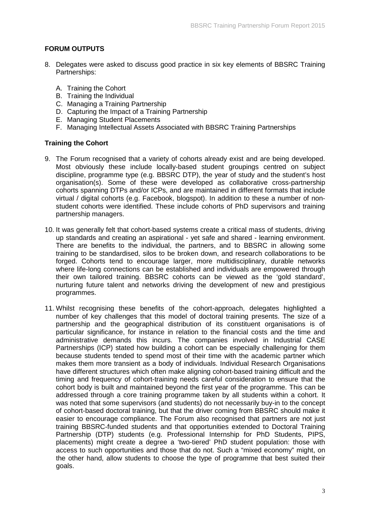## **FORUM OUTPUTS**

- 8. Delegates were asked to discuss good practice in six key elements of BBSRC Training Partnerships:
	- A. Training the Cohort
	- B. Training the Individual
	- C. Managing a Training Partnership
	- D. Capturing the Impact of a Training Partnership
	- E. Managing Student Placements
	- F. Managing Intellectual Assets Associated with BBSRC Training Partnerships

### **Training the Cohort**

- 9. The Forum recognised that a variety of cohorts already exist and are being developed. Most obviously these include locally-based student groupings centred on subject discipline, programme type (e.g. BBSRC DTP), the year of study and the student's host organisation(s). Some of these were developed as collaborative cross-partnership cohorts spanning DTPs and/or ICPs, and are maintained in different formats that include virtual / digital cohorts (e.g. Facebook, blogspot). In addition to these a number of nonstudent cohorts were identified. These include cohorts of PhD supervisors and training partnership managers.
- 10. It was generally felt that cohort-based systems create a critical mass of students, driving up standards and creating an aspirational - yet safe and shared - learning environment. There are benefits to the individual, the partners, and to BBSRC in allowing some training to be standardised, silos to be broken down, and research collaborations to be forged. Cohorts tend to encourage larger, more multidisciplinary, durable networks where life-long connections can be established and individuals are empowered through their own tailored training. BBSRC cohorts can be viewed as the 'gold standard', nurturing future talent and networks driving the development of new and prestigious programmes.
- 11. Whilst recognising these benefits of the cohort-approach, delegates highlighted a number of key challenges that this model of doctoral training presents. The size of a partnership and the geographical distribution of its constituent organisations is of particular significance, for instance in relation to the financial costs and the time and administrative demands this incurs. The companies involved in Industrial CASE Partnerships (ICP) stated how building a cohort can be especially challenging for them because students tended to spend most of their time with the academic partner which makes them more transient as a body of individuals. Individual Research Organisations have different structures which often make aligning cohort-based training difficult and the timing and frequency of cohort-training needs careful consideration to ensure that the cohort body is built and maintained beyond the first year of the programme. This can be addressed through a core training programme taken by all students within a cohort. It was noted that some supervisors (and students) do not necessarily buy-in to the concept of cohort-based doctoral training, but that the driver coming from BBSRC should make it easier to encourage compliance. The Forum also recognised that partners are not just training BBSRC-funded students and that opportunities extended to Doctoral Training Partnership (DTP) students (e.g. Professional Internship for PhD Students, PIPS, placements) might create a degree a 'two-tiered' PhD student population: those with access to such opportunities and those that do not. Such a "mixed economy" might, on the other hand, allow students to choose the type of programme that best suited their goals.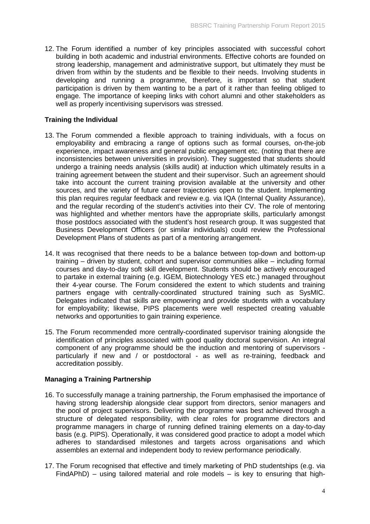12. The Forum identified a number of key principles associated with successful cohort building in both academic and industrial environments. Effective cohorts are founded on strong leadership, management and administrative support, but ultimately they must be driven from within by the students and be flexible to their needs. Involving students in developing and running a programme, therefore, is important so that student participation is driven by them wanting to be a part of it rather than feeling obliged to engage. The importance of keeping links with cohort alumni and other stakeholders as well as properly incentivising supervisors was stressed.

### **Training the Individual**

- 13. The Forum commended a flexible approach to training individuals, with a focus on employability and embracing a range of options such as formal courses, on-the-job experience, impact awareness and general public engagement etc. (noting that there are inconsistencies between universities in provision). They suggested that students should undergo a training needs analysis (skills audit) at induction which ultimately results in a training agreement between the student and their supervisor. Such an agreement should take into account the current training provision available at the university and other sources, and the variety of future career trajectories open to the student. Implementing this plan requires regular feedback and review e.g. via IQA (Internal Quality Assurance), and the regular recording of the student's activities into their CV. The role of mentoring was highlighted and whether mentors have the appropriate skills, particularly amongst those postdocs associated with the student's host research group. It was suggested that Business Development Officers (or similar individuals) could review the Professional Development Plans of students as part of a mentoring arrangement.
- 14. It was recognised that there needs to be a balance between top-down and bottom-up training – driven by student, cohort and supervisor communities alike – including formal courses and day-to-day soft skill development. Students should be actively encouraged to partake in external training (e.g. IGEM, Biotechnology YES etc.) managed throughout their 4-year course. The Forum considered the extent to which students and training partners engage with centrally-coordinated structured training such as SysMIC. Delegates indicated that skills are empowering and provide students with a vocabulary for employability; likewise, PIPS placements were well respected creating valuable networks and opportunities to gain training experience.
- 15. The Forum recommended more centrally-coordinated supervisor training alongside the identification of principles associated with good quality doctoral supervision. An integral component of any programme should be the induction and mentoring of supervisors particularly if new and / or postdoctoral - as well as re-training, feedback and accreditation possibly.

### **Managing a Training Partnership**

- 16. To successfully manage a training partnership, the Forum emphasised the importance of having strong leadership alongside clear support from directors, senior managers and the pool of project supervisors. Delivering the programme was best achieved through a structure of delegated responsibility, with clear roles for programme directors and programme managers in charge of running defined training elements on a day-to-day basis (e.g. PIPS). Operationally, it was considered good practice to adopt a model which adheres to standardised milestones and targets across organisations and which assembles an external and independent body to review performance periodically.
- 17. The Forum recognised that effective and timely marketing of PhD studentships (e.g. via FindAPhD) – using tailored material and role models – is key to ensuring that high-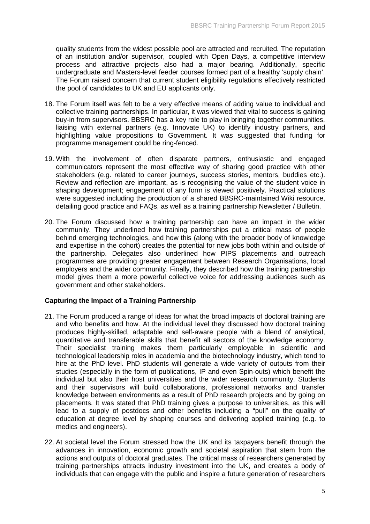quality students from the widest possible pool are attracted and recruited. The reputation of an institution and/or supervisor, coupled with Open Days, a competitive interview process and attractive projects also had a major bearing. Additionally, specific undergraduate and Masters-level feeder courses formed part of a healthy 'supply chain'. The Forum raised concern that current student eligibility regulations effectively restricted the pool of candidates to UK and EU applicants only.

- 18. The Forum itself was felt to be a very effective means of adding value to individual and collective training partnerships. In particular, it was viewed that vital to success is gaining buy-in from supervisors. BBSRC has a key role to play in bringing together communities, liaising with external partners (e.g. Innovate UK) to identify industry partners, and highlighting value propositions to Government. It was suggested that funding for programme management could be ring-fenced.
- 19. With the involvement of often disparate partners, enthusiastic and engaged communicators represent the most effective way of sharing good practice with other stakeholders (e.g. related to career journeys, success stories, mentors, buddies etc.). Review and reflection are important, as is recognising the value of the student voice in shaping development; engagement of any form is viewed positively. Practical solutions were suggested including the production of a shared BBSRC-maintained Wiki resource, detailing good practice and FAQs, as well as a training partnership Newsletter / Bulletin.
- 20. The Forum discussed how a training partnership can have an impact in the wider community. They underlined how training partnerships put a critical mass of people behind emerging technologies, and how this (along with the broader body of knowledge and expertise in the cohort) creates the potential for new jobs both within and outside of the partnership. Delegates also underlined how PIPS placements and outreach programmes are providing greater engagement between Research Organisations, local employers and the wider community. Finally, they described how the training partnership model gives them a more powerful collective voice for addressing audiences such as government and other stakeholders.

### **Capturing the Impact of a Training Partnership**

- 21. The Forum produced a range of ideas for what the broad impacts of doctoral training are and who benefits and how. At the individual level they discussed how doctoral training produces highly-skilled, adaptable and self-aware people with a blend of analytical, quantitative and transferable skills that benefit all sectors of the knowledge economy. Their specialist training makes them particularly employable in scientific and technological leadership roles in academia and the biotechnology industry, which tend to hire at the PhD level. PhD students will generate a wide variety of outputs from their studies (especially in the form of publications, IP and even Spin-outs) which benefit the individual but also their host universities and the wider research community. Students and their supervisors will build collaborations, professional networks and transfer knowledge between environments as a result of PhD research projects and by going on placements. It was stated that PhD training gives a purpose to universities, as this will lead to a supply of postdocs and other benefits including a "pull" on the quality of education at degree level by shaping courses and delivering applied training (e.g. to medics and engineers).
- 22. At societal level the Forum stressed how the UK and its taxpayers benefit through the advances in innovation, economic growth and societal aspiration that stem from the actions and outputs of doctoral graduates. The critical mass of researchers generated by training partnerships attracts industry investment into the UK, and creates a body of individuals that can engage with the public and inspire a future generation of researchers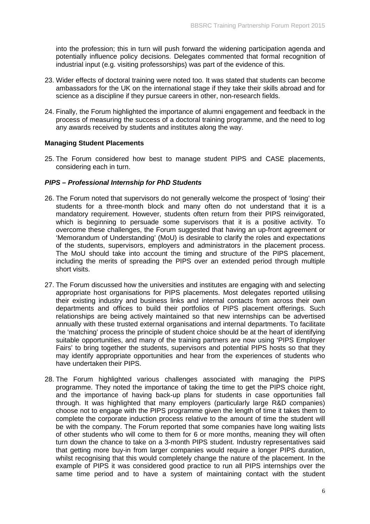into the profession; this in turn will push forward the widening participation agenda and potentially influence policy decisions. Delegates commented that formal recognition of industrial input (e.g. visiting professorships) was part of the evidence of this.

- 23. Wider effects of doctoral training were noted too. It was stated that students can become ambassadors for the UK on the international stage if they take their skills abroad and for science as a discipline if they pursue careers in other, non-research fields.
- 24. Finally, the Forum highlighted the importance of alumni engagement and feedback in the process of measuring the success of a doctoral training programme, and the need to log any awards received by students and institutes along the way.

#### **Managing Student Placements**

25. The Forum considered how best to manage student PIPS and CASE placements, considering each in turn.

#### *PIPS – Professional Internship for PhD Students*

- 26. The Forum noted that supervisors do not generally welcome the prospect of 'losing' their students for a three-month block and many often do not understand that it is a mandatory requirement. However, students often return from their PIPS reinvigorated, which is beginning to persuade some supervisors that it is a positive activity. To overcome these challenges, the Forum suggested that having an up-front agreement or 'Memorandum of Understanding' (MoU) is desirable to clarify the roles and expectations of the students, supervisors, employers and administrators in the placement process. The MoU should take into account the timing and structure of the PIPS placement, including the merits of spreading the PIPS over an extended period through multiple short visits.
- 27. The Forum discussed how the universities and institutes are engaging with and selecting appropriate host organisations for PIPS placements. Most delegates reported utilising their existing industry and business links and internal contacts from across their own departments and offices to build their portfolios of PIPS placement offerings. Such relationships are being actively maintained so that new internships can be advertised annually with these trusted external organisations and internal departments. To facilitate the 'matching' process the principle of student choice should be at the heart of identifying suitable opportunities, and many of the training partners are now using 'PIPS Employer Fairs' to bring together the students, supervisors and potential PIPS hosts so that they may identify appropriate opportunities and hear from the experiences of students who have undertaken their PIPS.
- 28. The Forum highlighted various challenges associated with managing the PIPS programme. They noted the importance of taking the time to get the PIPS choice right, and the importance of having back-up plans for students in case opportunities fall through. It was highlighted that many employers (particularly large R&D companies) choose not to engage with the PIPS programme given the length of time it takes them to complete the corporate induction process relative to the amount of time the student will be with the company. The Forum reported that some companies have long waiting lists of other students who will come to them for 6 or more months, meaning they will often turn down the chance to take on a 3-month PIPS student. Industry representatives said that getting more buy-in from larger companies would require a longer PIPS duration, whilst recognising that this would completely change the nature of the placement. In the example of PIPS it was considered good practice to run all PIPS internships over the same time period and to have a system of maintaining contact with the student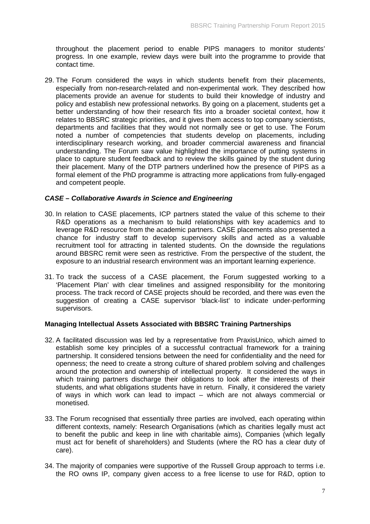throughout the placement period to enable PIPS managers to monitor students' progress. In one example, review days were built into the programme to provide that contact time.

29. The Forum considered the ways in which students benefit from their placements, especially from non-research-related and non-experimental work. They described how placements provide an avenue for students to build their knowledge of industry and policy and establish new professional networks. By going on a placement, students get a better understanding of how their research fits into a broader societal context, how it relates to BBSRC strategic priorities, and it gives them access to top company scientists, departments and facilities that they would not normally see or get to use. The Forum noted a number of competencies that students develop on placements, including interdisciplinary research working, and broader commercial awareness and financial understanding. The Forum saw value highlighted the importance of putting systems in place to capture student feedback and to review the skills gained by the student during their placement. Many of the DTP partners underlined how the presence of PIPS as a formal element of the PhD programme is attracting more applications from fully-engaged and competent people.

#### *CASE – Collaborative Awards in Science and Engineering*

- 30. In relation to CASE placements, ICP partners stated the value of this scheme to their R&D operations as a mechanism to build relationships with key academics and to leverage R&D resource from the academic partners. CASE placements also presented a chance for industry staff to develop supervisory skills and acted as a valuable recruitment tool for attracting in talented students. On the downside the regulations around BBSRC remit were seen as restrictive. From the perspective of the student, the exposure to an industrial research environment was an important learning experience.
- 31. To track the success of a CASE placement, the Forum suggested working to a 'Placement Plan' with clear timelines and assigned responsibility for the monitoring process. The track record of CASE projects should be recorded, and there was even the suggestion of creating a CASE supervisor 'black-list' to indicate under-performing supervisors.

#### **Managing Intellectual Assets Associated with BBSRC Training Partnerships**

- 32. A facilitated discussion was led by a representative from PraxisUnico, which aimed to establish some key principles of a successful contractual framework for a training partnership. It considered tensions between the need for confidentiality and the need for openness; the need to create a strong culture of shared problem solving and challenges around the protection and ownership of intellectual property. It considered the ways in which training partners discharge their obligations to look after the interests of their students, and what obligations students have in return. Finally, it considered the variety of ways in which work can lead to impact – which are not always commercial or monetised.
- 33. The Forum recognised that essentially three parties are involved, each operating within different contexts, namely: Research Organisations (which as charities legally must act to benefit the public and keep in line with charitable aims), Companies (which legally must act for benefit of shareholders) and Students (where the RO has a clear duty of care).
- 34. The majority of companies were supportive of the Russell Group approach to terms i.e. the RO owns IP, company given access to a free license to use for R&D, option to